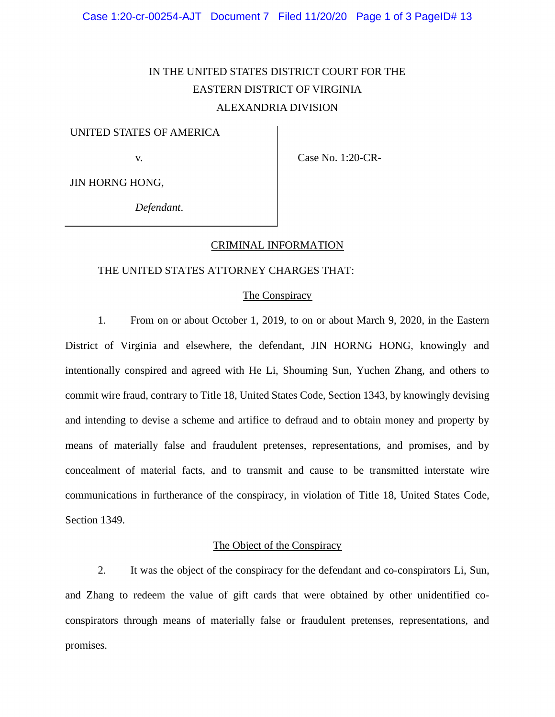# ALEXANDRIA DIVISION IN THE UNITED STATES DISTRICT COURT FOR THE EASTERN DISTRICT OF VIRGINIA

### UNITED STATES OF AMERICA

v. **Case No. 1:20-CR-**

JIN HORNG HONG,

*Defendant*.

## CRIMINAL INFORMATION

#### THE UNITED STATES ATTORNEY CHARGES THAT:

#### The Conspiracy

1. From on or about October 1, 2019, to on or about March 9, 2020, in the Eastern District of Virginia and elsewhere, the defendant, JIN HORNG HONG, knowingly and intentionally conspired and agreed with He Li, Shouming Sun, Yuchen Zhang, and others to commit wire fraud, contrary to Title 18, United States Code, Section 1343, by knowingly devising and intending to devise a scheme and artifice to defraud and to obtain money and property by means of materially false and fraudulent pretenses, representations, and promises, and by concealment of material facts, and to transmit and cause to be transmitted interstate wire communications in furtherance of the conspiracy, in violation of Title 18, United States Code, Section 1349.

## The Object of the Conspiracy

2. It was the object of the conspiracy for the defendant and co-conspirators Li, Sun, and Zhang to redeem the value of gift cards that were obtained by other unidentified coconspirators through means of materially false or fraudulent pretenses, representations, and promises.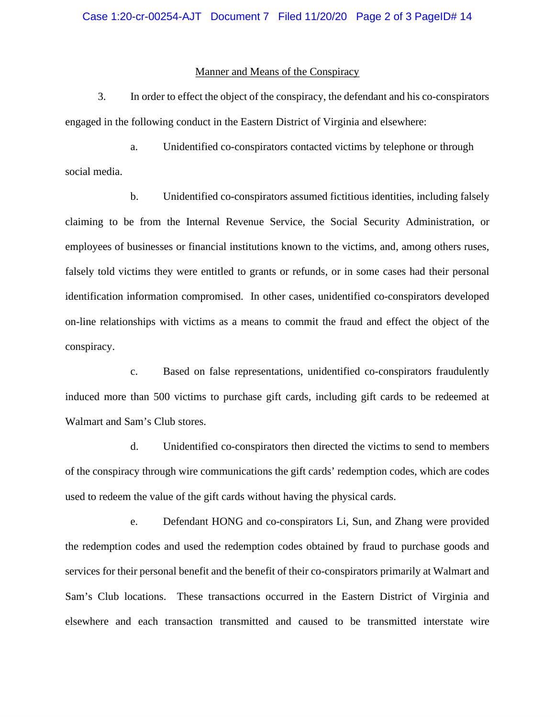#### Manner and Means of the Conspiracy

3. In order to effect the object of the conspiracy, the defendant and his co-conspirators engaged in the following conduct in the Eastern District of Virginia and elsewhere:

social media. a. Unidentified co-conspirators contacted victims by telephone or through

b. Unidentified co-conspirators assumed fictitious identities, including falsely claiming to be from the Internal Revenue Service, the Social Security Administration, or employees of businesses or financial institutions known to the victims, and, among others ruses, falsely told victims they were entitled to grants or refunds, or in some cases had their personal identification information compromised. In other cases, unidentified co-conspirators developed on-line relationships with victims as a means to commit the fraud and effect the object of the conspiracy.

Walmart and Sam's Club stores. c. Based on false representations, unidentified co-conspirators fraudulently induced more than 500 victims to purchase gift cards, including gift cards to be redeemed at

d. Unidentified co-conspirators then directed the victims to send to members of the conspiracy through wire communications the gift cards' redemption codes, which are codes used to redeem the value of the gift cards without having the physical cards.

 the redemption codes and used the redemption codes obtained by fraud to purchase goods and e. Defendant HONG and co-conspirators Li, Sun, and Zhang were provided services for their personal benefit and the benefit of their co-conspirators primarily at Walmart and Sam's Club locations. These transactions occurred in the Eastern District of Virginia and elsewhere and each transaction transmitted and caused to be transmitted interstate wire